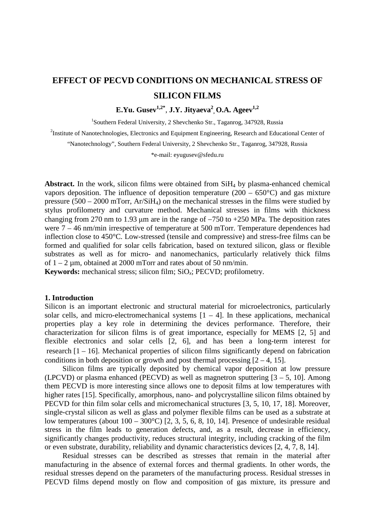# **EFFECT OF PECVD CONDITIONS ON MECHANICAL STRESS OF SILICON FILMS**

**E.Yu. Gusev1,2\***, **J.Y. Jityaeva2 , O.A. Ageev1,2**

<sup>1</sup>Southern Federal University, 2 Shevchenko Str., Taganrog, 347928, Russia

<sup>2</sup>Institute of Nanotechnologies, Electronics and Equipment Engineering, Research and Educational Center of

"Nanotechnology", Southern Federal University, 2 Shevchenko Str., Taganrog, 347928, Russia

\*e-mail: eyugusev@sfedu.ru

**Abstract.** In the work, silicon films were obtained from SiH4 by plasma-enhanced chemical vapors deposition. The influence of deposition temperature  $(200 - 650^{\circ}C)$  and gas mixture pressure  $(500 - 2000$  mTorr, Ar/SiH<sub>4</sub>) on the mechanical stresses in the films were studied by stylus profilometry and curvature method. Mechanical stresses in films with thickness changing from 270 nm to 1.93 μm are in the range of −750 to +250 MPa. The deposition rates were 7 – 46 nm/min irrespective of temperature at 500 mTorr. Temperature dependences had inflection close to 450°C. Low-stressed (tensile and compressive) and stress-free films can be formed and qualified for solar cells fabrication, based on textured silicon, glass or flexible substrates as well as for micro- and nanomechanics, particularly relatively thick films of  $1 - 2 \mu m$ , obtained at 2000 mTorr and rates about of 50 nm/min.

**Keywords:** mechanical stress; silicon film; SiO*x*; PECVD; profilometry.

#### **1. Introduction**

Silicon is an important electronic and structural material for microelectronics, particularly solar cells, and micro-electromechanical systems  $[1 - 4]$ . In these applications, mechanical properties play a key role in determining the devices performance. Therefore, their characterization for silicon films is of great importance, especially for MEMS [2, 5] and flexible electronics and solar cells [2, 6], and has been a long-term interest for research [1 – 16]. Mechanical properties of silicon films significantly depend on fabrication conditions in both deposition or growth and post thermal processing  $[2 - 4, 15]$ .

Silicon films are typically deposited by chemical vapor deposition at low pressure (LPCVD) or plasma enhanced (PECVD) as well as magnetron sputtering  $[3 - 5, 10]$ . Among them PECVD is more interesting since allows one to deposit films at low temperatures with higher rates [15]. Specifically, amorphous, nano- and polycrystalline silicon films obtained by PECVD for thin film solar cells and micromechanical structures [3, 5, 10, 17, 18]. Moreover, single-crystal silicon as well as glass and polymer flexible films can be used as a substrate at low temperatures (about  $100 - 300^{\circ}$ C) [2, 3, 5, 6, 8, 10, 14]. Presence of undesirable residual stress in the film leads to generation defects, and, as a result, decrease in efficiency, significantly changes productivity, reduces structural integrity, including cracking of the film or even substrate, durability, reliability and dynamic characteristics devices [2, 4, 7, 8, 14].

Residual stresses can be described as stresses that remain in the material after manufacturing in the absence of external forces and thermal gradients. In other words, the residual stresses depend on the parameters of the manufacturing process. Residual stresses in PECVD films depend mostly on flow and composition of gas mixture, its pressure and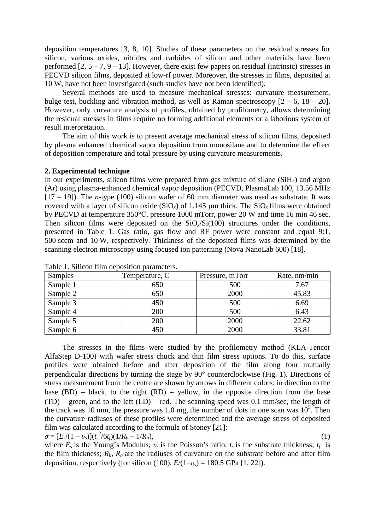deposition temperatures [3, 8, 10]. Studies of these parameters on the residual stresses for silicon, various oxides, nitrides and carbides of silicon and other materials have been performed  $[2, 5 - 7, 9 - 13]$ . However, there exist few papers on residual (intrinsic) stresses in PECVD silicon films, deposited at low-rf power. Moreover, the stresses in films, deposited at 10 W, have not been investigated (such studies have not been identified).

Several methods are used to measure mechanical stresses: curvature measurement, bulge test, buckling and vibration method, as well as Raman spectroscopy  $[2 - 6, 18 - 20]$ . However, only curvature analysis of profiles, obtained by profilometry, allows determining the residual stresses in films require no forming additional elements or a laborious system of result interpretation.

The aim of this work is to present average mechanical stress of silicon films, deposited by plasma enhanced chemical vapor deposition from monosilane and to determine the effect of deposition temperature and total pressure by using curvature measurements.

## **2. Experimental technique**

In our experiments, silicon films were prepared from gas mixture of silane (SiH4) and argon (Ar) using plasma-enhanced chemical vapor deposition (PECVD, PlasmaLab 100, 13.56 MHz [17 – 19]). The *n*-type (100) silicon wafer of 60 mm diameter was used as substrate. It was covered with a layer of silicon oxide  $(SiO_x)$  of 1.145  $\mu$ m thick. The  $SiO_x$  films were obtained by PECVD at temperature 350°С, pressure 1000 mTorr, power 20 W and time 16 min 46 sec. Then silicon films were deposited on the  $SiO<sub>x</sub>/Si(100)$  structures under the conditions, presented in Table 1. Gas ratio, gas flow and RF power were constant and equal 9:1, 500 sccm and 10 W, respectively. Thickness of the deposited films was determined by the scanning electron microscopy using focused ion patterning (Nova NanoLab 600) [18].

| Samples  | Temperature, C | Pressure, mTorr | Rate, nm/min |
|----------|----------------|-----------------|--------------|
| Sample 1 | 650            | 500             | 7.67         |
| Sample 2 | 650            | 2000            | 45.83        |
| Sample 3 | 450            | 500             | 6.69         |
| Sample 4 | 200            | 500             | 6.43         |
| Sample 5 | 200            | 2000            | 22.62        |
| Sample 6 | 450            | 2000            | 33.81        |

Table 1. Silicon film deposition parameters.

The stresses in the films were studied by the profilometry method (KLA-Tencor AlfaStep D-100) with wafer stress chuck and thin film stress options. To do this, surface profiles were obtained before and after deposition of the film along four mutually perpendicular directions by turning the stage by 90° counterclockwise (Fig. 1). Directions of stress measurement from the centre are shown by arrows in different colors: in direction to the base (BD) − black, to the right (RD) − yellow, in the opposite direction from the base  $(TD)$  – green, and to the left  $(LD)$  – red. The scanning speed was 0.1 mm/sec, the length of the track was 10 mm, the pressure was 1.0 mg, the number of dots in one scan was  $10<sup>5</sup>$ . Then the curvature radiuses of these profiles were determined and the average stress of deposited film was calculated according to the formula of Stoney [21]:

 $\sigma = [E_s/(1 - v_s)](t_s^2/6t_f)(1/R_b - 1/R_a),$ (1)

where  $E_s$  is the Young's Modulus;  $v_s$  is the Poisson's ratio;  $t_s$  is the substrate thickness;  $t_f$  is the film thickness;  $R_b$ ,  $R_a$  are the radiuses of curvature on the substrate before and after film deposition, respectively (for silicon (100),  $E/(1-v_s) = 180.5$  GPa [1, 22]).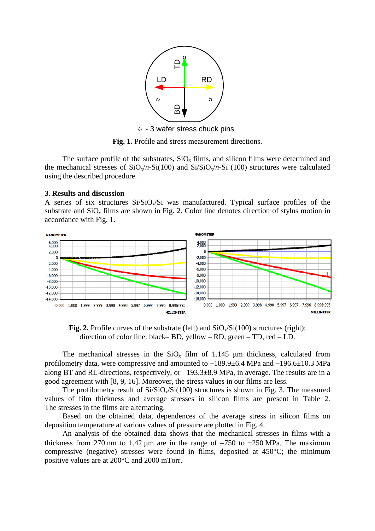

 $\ddot{\circ}$  - 3 wafer stress chuck pins

**Fig. 1.** Profile and stress measurement directions.

The surface profile of the substrates,  $SiO<sub>x</sub>$  films, and silicon films were determined and the mechanical stresses of  $SiO_x/n-Si(100)$  and  $Si/SiO_x/n-Si(100)$  structures were calculated using the described procedure.

#### **3. Results and discussion**

A series of six structures Si/SiO*x*/Si was manufactured. Typical surface profiles of the substrate and  $SiO<sub>x</sub>$  films are shown in Fig. 2. Color line denotes direction of stylus motion in accordance with Fig. 1.



**Fig. 2.** Profile curves of the substrate (left) and SiO*x*/Si(100) structures (right); direction of color line: black– BD, yellow – RD, green – TD, red – LD.

The mechanical stresses in the  $SiO<sub>x</sub>$  film of 1.145  $\mu$ m thickness, calculated from profilometry data, were compressive and amounted to −189.9±6.4 MPa and −196.6±10.3 MPa along BT and RL-directions, respectively, or −193.3±8.9 MPa, in average. The results are in a good agreement with [8, 9, 16]. Moreover, the stress values in our films are less.

The profilometry result of Si/SiO*x*/Si(100) structures is shown in Fig. 3. The measured values of film thickness and average stresses in silicon films are present in Table 2. The stresses in the films are alternating.

Based on the obtained data, dependences of the average stress in silicon films on deposition temperature at various values of pressure are plotted in Fig. 4.

An analysis of the obtained data shows that the mechanical stresses in films with a thickness from 270 nm to 1.42 μm are in the range of −750 to +250 MPa. The maximum compressive (negative) stresses were found in films, deposited at 450°C; the minimum positive values are at 200°C and 2000 mTorr.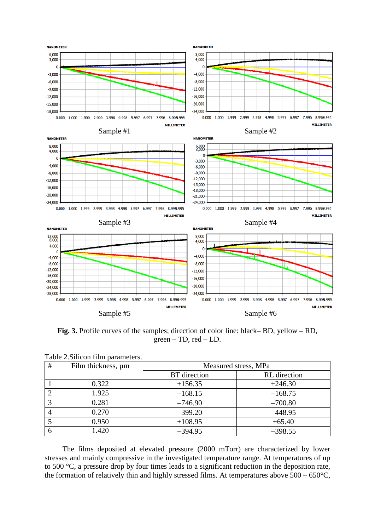

**Fig. 3.** Profile curves of the samples; direction of color line: black– BD, yellow – RD,  $green - TD$ ,  $red - LD$ .

| #              | Film thickness, µm | Measured stress, MPa |                     |  |
|----------------|--------------------|----------------------|---------------------|--|
|                |                    | <b>BT</b> direction  | <b>RL</b> direction |  |
|                | 0.322              | $+156.35$            | $+246.30$           |  |
| $\overline{2}$ | 1.925              | $-168.15$            | $-168.75$           |  |
| 3              | 0.281              | $-746.90$            | $-700.80$           |  |
| 4              | 0.270              | $-399.20$            | $-448.95$           |  |
| 5              | 0.950              | $+108.95$            | $+65.40$            |  |
| 6              | 1.420              | $-394.95$            | $-398.55$           |  |

| Table 2. Silicon film parameters. |  |  |
|-----------------------------------|--|--|
|-----------------------------------|--|--|

The films deposited at elevated pressure (2000 mTorr) are characterized by lower stresses and mainly compressive in the investigated temperature range. At temperatures of up to 500 °C, a pressure drop by four times leads to a significant reduction in the deposition rate, the formation of relatively thin and highly stressed films. At temperatures above  $500 - 650^{\circ}$ C,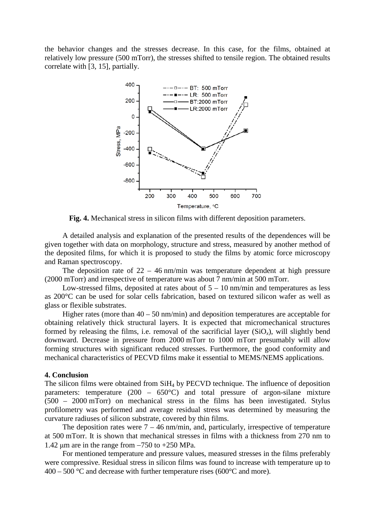the behavior changes and the stresses decrease. In this case, for the films, obtained at relatively low pressure (500 mTorr), the stresses shifted to tensile region. The obtained results correlate with [3, 15], partially.



**Fig. 4.** Mechanical stress in silicon films with different deposition parameters.

A detailed analysis and explanation of the presented results of the dependences will be given together with data on morphology, structure and stress, measured by another method of the deposited films, for which it is proposed to study the films by atomic force microscopy and Raman spectroscopy.

The deposition rate of  $22 - 46$  nm/min was temperature dependent at high pressure (2000 mTorr) and irrespective of temperature was about 7 nm/min at 500 mTorr.

Low-stressed films, deposited at rates about of  $5 - 10$  nm/min and temperatures as less as 200°C can be used for solar cells fabrication, based on textured silicon wafer as well as glass or flexible substrates.

Higher rates (more than  $40 - 50$  nm/min) and deposition temperatures are acceptable for obtaining relatively thick structural layers. It is expected that micromechanical structures formed by releasing the films, i.e. removal of the sacrificial layer  $(SiO<sub>x</sub>)$ , will slightly bend downward. Decrease in pressure from 2000 mTorr to 1000 mTorr presumably will allow forming structures with significant reduced stresses. Furthermore, the good conformity and mechanical characteristics of PECVD films make it essential to MEMS/NEMS applications.

### **4. Conclusion**

The silicon films were obtained from SiH4 by PECVD technique. The influence of deposition parameters: temperature  $(200 - 650^{\circ}C)$  and total pressure of argon-silane mixture (500 – 2000 mTorr) on mechanical stress in the films has been investigated. Stylus profilometry was performed and average residual stress was determined by measuring the curvature radiuses of silicon substrate, covered by thin films.

The deposition rates were  $7 - 46$  nm/min, and, particularly, irrespective of temperature at 500 mTorr. It is shown that mechanical stresses in films with a thickness from 270 nm to 1.42 μm are in the range from −750 to +250 MPa.

For mentioned temperature and pressure values, measured stresses in the films preferably were compressive. Residual stress in silicon films was found to increase with temperature up to  $400 - 500$  °C and decrease with further temperature rises (600°C and more).